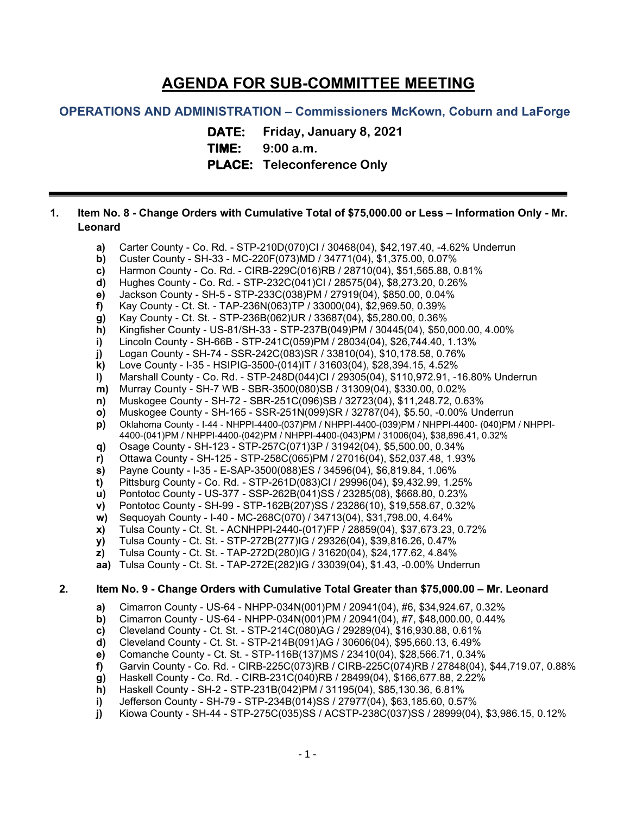# **AGENDA FOR SUB-COMMITTEE MEETING**

## **OPERATIONS AND ADMINISTRATION – Commissioners McKown, Coburn and LaForge**

**DATE: Friday, January 8, 2021 TIME: 9:00 a.m.**

**PLACE: Teleconference Only**

### **1. Item No. 8 - Change Orders with Cumulative Total of \$75,000.00 or Less – Information Only - Mr. Leonard**

- **a)** Carter County Co. Rd. STP-210D(070)CI / 30468(04), \$42,197.40, -4.62% Underrun
- **b)** Custer County SH-33 MC-220F(073)MD / 34771(04), \$1,375.00, 0.07%
- **c)** Harmon County Co. Rd. CIRB-229C(016)RB / 28710(04), \$51,565.88, 0.81%
- **d)** Hughes County Co. Rd. STP-232C(041)CI / 28575(04), \$8,273.20, 0.26%
- **e)** Jackson County SH-5 STP-233C(038)PM / 27919(04), \$850.00, 0.04%
- **f)** Kay County Ct. St. TAP-236N(063)TP / 33000(04), \$2,969.50, 0.39%
- **g)** Kay County Ct. St. STP-236B(062)UR / 33687(04), \$5,280.00, 0.36%
- **h)** Kingfisher County US-81/SH-33 STP-237B(049)PM / 30445(04), \$50,000.00, 4.00%
- **i)** Lincoln County SH-66B STP-241C(059)PM / 28034(04), \$26,744.40, 1.13%
- **j)** Logan County SH-74 SSR-242C(083)SR / 33810(04), \$10,178.58, 0.76%
- **k)** Love County I-35 HSIPIG-3500-(014)IT / 31603(04), \$28,394.15, 4.52%
- 
- **l)** Marshall County Co. Rd. STP-248D(044)CI / 29305(04), \$110,972.91, -16.80% Underrun **m)** Murray County - SH-7 WB - SBR-3500(080)SB / 31309(04), \$330.00, 0.02%
- **n)** Muskogee County SH-72 SBR-251C(096)SB / 32723(04), \$11,248.72, 0.63%
- **o)** Muskogee County SH-165 SSR-251N(099)SR / 32787(04), \$5.50, -0.00% Underrun
- **p)** Oklahoma County I-44 NHPPI-4400-(037)PM / NHPPI-4400-(039)PM / NHPPI-4400- (040)PM / NHPPI-4400-(041)PM / NHPPI-4400-(042)PM / NHPPI-4400-(043)PM / 31006(04), \$38,896.41, 0.32%
- **q)** Osage County SH-123 STP-257C(071)3P / 31942(04), \$5,500.00, 0.34%
- **r)** Ottawa County SH-125 STP-258C(065)PM / 27016(04), \$52,037.48, 1.93%
- 
- **s)** Payne County I-35 E-SAP-3500(088)ES / 34596(04), \$6,819.84, 1.06% **t)** Pittsburg County - Co. Rd. - STP-261D(083)CI / 29996(04), \$9,432.99, 1.25%
- **u)** Pontotoc County US-377 SSP-262B(041)SS / 23285(08), \$668.80, 0.23%
- 
- **v)** Pontotoc County SH-99 STP-162B(207)SS / 23286(10), \$19,558.67, 0.32% **w)** Sequoyah County - I-40 - MC-268C(070) / 34713(04), \$31,798.00, 4.64%
- **x)** Tulsa County Ct. St. ACNHPPI-2440-(017)FP / 28859(04), \$37,673.23, 0.72%
- 
- **y)** Tulsa County Ct. St. STP-272B(277)IG / 29326(04), \$39,816.26, 0.47%
- **z)** Tulsa County Ct. St. TAP-272D(280)IG / 31620(04), \$24,177.62, 4.84%
- **aa)** Tulsa County Ct. St. TAP-272E(282)IG / 33039(04), \$1.43, -0.00% Underrun

### **2. Item No. 9 - Change Orders with Cumulative Total Greater than \$75,000.00 – Mr. Leonard**

- **a)** Cimarron County US-64 NHPP-034N(001)PM / 20941(04), #6, \$34,924.67, 0.32%
- **b)** Cimarron County US-64 NHPP-034N(001)PM / 20941(04), #7, \$48,000.00, 0.44%
- **c)** Cleveland County Ct. St. STP-214C(080)AG / 29289(04), \$16,930.88, 0.61%
- **d)** Cleveland County Ct. St. STP-214B(091)AG / 30606(04), \$95,660.13, 6.49%
- **e)** Comanche County Ct. St. STP-116B(137)MS / 23410(04), \$28,566.71, 0.34%
- **f)** Garvin County Co. Rd. CIRB-225C(073)RB / CIRB-225C(074)RB / 27848(04), \$44,719.07, 0.88%
- **g)** Haskell County Co. Rd. CIRB-231C(040)RB / 28499(04), \$166,677.88, 2.22%
- **h)** Haskell County SH-2 STP-231B(042)PM / 31195(04), \$85,130.36, 6.81%
- **i)** Jefferson County SH-79 STP-234B(014)SS / 27977(04), \$63,185.60, 0.57%
- **j)** Kiowa County SH-44 STP-275C(035)SS / ACSTP-238C(037)SS / 28999(04), \$3,986.15, 0.12%